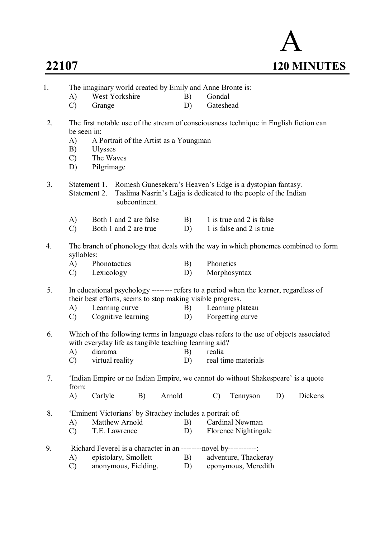

| 1. |                                                                                                                                                                               |                                           |                        |    |        |    |                                                                                                                                 | The imaginary world created by Emily and Anne Bronte is:                                  |    |                                                                                        |  |  |  |
|----|-------------------------------------------------------------------------------------------------------------------------------------------------------------------------------|-------------------------------------------|------------------------|----|--------|----|---------------------------------------------------------------------------------------------------------------------------------|-------------------------------------------------------------------------------------------|----|----------------------------------------------------------------------------------------|--|--|--|
|    | A)                                                                                                                                                                            |                                           | West Yorkshire         |    |        | B) | Gondal                                                                                                                          |                                                                                           |    |                                                                                        |  |  |  |
|    | $\mathcal{C}$                                                                                                                                                                 | Grange                                    |                        |    |        | D) | Gateshead                                                                                                                       |                                                                                           |    |                                                                                        |  |  |  |
| 2. | be seen in:<br>A)<br>B)<br>$\mathcal{C}$<br>D)                                                                                                                                | <b>Ulysses</b><br>The Waves<br>Pilgrimage |                        |    |        |    | The first notable use of the stream of consciousness technique in English fiction can<br>A Portrait of the Artist as a Youngman |                                                                                           |    |                                                                                        |  |  |  |
| 3. | Romesh Gunesekera's Heaven's Edge is a dystopian fantasy.<br>Statement 1.<br>Taslima Nasrin's Lajja is dedicated to the people of the Indian<br>Statement 2.<br>subcontinent. |                                           |                        |    |        |    |                                                                                                                                 |                                                                                           |    |                                                                                        |  |  |  |
|    | A)                                                                                                                                                                            |                                           | Both 1 and 2 are false |    |        | B) |                                                                                                                                 | 1 is true and 2 is false                                                                  |    |                                                                                        |  |  |  |
|    | $\mathcal{C}$                                                                                                                                                                 |                                           | Both 1 and 2 are true  |    |        | D) |                                                                                                                                 | 1 is false and 2 is true                                                                  |    |                                                                                        |  |  |  |
| 4. | syllables:<br>A)                                                                                                                                                              | Phonotactics                              |                        |    |        | B) | Phonetics                                                                                                                       |                                                                                           |    | The branch of phonology that deals with the way in which phonemes combined to form     |  |  |  |
|    | $\mathcal{C}$                                                                                                                                                                 | Lexicology                                |                        |    |        | D) |                                                                                                                                 | Morphosyntax                                                                              |    |                                                                                        |  |  |  |
| 5. |                                                                                                                                                                               |                                           |                        |    |        |    | their best efforts, seems to stop making visible progress.                                                                      | In educational psychology -------- refers to a period when the learner, regardless of     |    |                                                                                        |  |  |  |
|    | A)                                                                                                                                                                            |                                           | Learning curve         |    |        | B) |                                                                                                                                 | Learning plateau                                                                          |    |                                                                                        |  |  |  |
|    | $\mathcal{C}$                                                                                                                                                                 |                                           | Cognitive learning     |    |        | D) |                                                                                                                                 | Forgetting curve                                                                          |    |                                                                                        |  |  |  |
| 6. | A)                                                                                                                                                                            | diarama                                   |                        |    |        | B) | with everyday life as tangible teaching learning aid?<br>realia                                                                 |                                                                                           |    | Which of the following terms in language class refers to the use of objects associated |  |  |  |
|    | $\mathcal{C}$                                                                                                                                                                 |                                           | virtual reality        |    |        | D) |                                                                                                                                 | real time materials                                                                       |    |                                                                                        |  |  |  |
|    |                                                                                                                                                                               |                                           |                        |    |        |    |                                                                                                                                 |                                                                                           |    |                                                                                        |  |  |  |
| 7. | from:                                                                                                                                                                         |                                           |                        |    |        |    |                                                                                                                                 | 'Indian Empire or no Indian Empire, we cannot do without Shakespeare' is a quote          |    |                                                                                        |  |  |  |
|    | $\mathbf{A}$                                                                                                                                                                  | Carlyle                                   |                        | B) | Arnold |    | $\mathcal{C}$                                                                                                                   | Tennyson                                                                                  | D) | Dickens                                                                                |  |  |  |
| 8. |                                                                                                                                                                               |                                           |                        |    |        |    | 'Eminent Victorians' by Strachey includes a portrait of:                                                                        |                                                                                           |    |                                                                                        |  |  |  |
|    | A)                                                                                                                                                                            |                                           | Matthew Arnold         |    |        | B) |                                                                                                                                 | Cardinal Newman                                                                           |    |                                                                                        |  |  |  |
|    | $\mathcal{C}$                                                                                                                                                                 |                                           | T.E. Lawrence          |    |        | D) |                                                                                                                                 | <b>Florence Nightingale</b>                                                               |    |                                                                                        |  |  |  |
|    |                                                                                                                                                                               |                                           |                        |    |        |    |                                                                                                                                 |                                                                                           |    |                                                                                        |  |  |  |
| 9. | A)                                                                                                                                                                            |                                           | epistolary, Smollett   |    |        | B) |                                                                                                                                 | Richard Feverel is a character in an --------novel by------------<br>adventure, Thackeray |    |                                                                                        |  |  |  |
|    | $\mathcal{C}$                                                                                                                                                                 |                                           | anonymous, Fielding,   |    |        | D) |                                                                                                                                 | eponymous, Meredith                                                                       |    |                                                                                        |  |  |  |
|    |                                                                                                                                                                               |                                           |                        |    |        |    |                                                                                                                                 |                                                                                           |    |                                                                                        |  |  |  |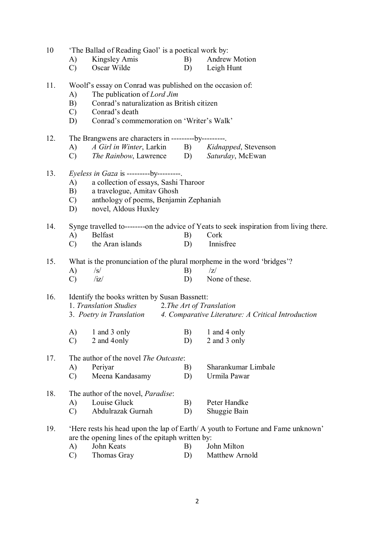| 10  | A)<br>$\mathcal{C}$             | 'The Ballad of Reading Gaol' is a poetical work by:<br>Kingsley Amis<br>Oscar Wilde                                                                                                                   | B)<br>D)                        | <b>Andrew Motion</b><br>Leigh Hunt                                                                           |
|-----|---------------------------------|-------------------------------------------------------------------------------------------------------------------------------------------------------------------------------------------------------|---------------------------------|--------------------------------------------------------------------------------------------------------------|
| 11. | A)<br>B)<br>$\mathcal{C}$<br>D) | Woolf's essay on Conrad was published on the occasion of:<br>The publication of Lord Jim<br>Conrad's naturalization as British citizen<br>Conrad's death<br>Conrad's commemoration on 'Writer's Walk' |                                 |                                                                                                              |
| 12. | A)<br>$\mathcal{C}$ )           | The Brangwens are characters in ---------by---------<br>A Girl in Winter, Larkin B) Kidnapped, Stevenson<br>The Rainbow, Lawrence D) Saturday, McEwan                                                 |                                 |                                                                                                              |
| 13. | A)<br>B)<br>$\mathcal{C}$<br>D) | <i>Eyeless in Gaza is ---------by---------</i> .<br>a collection of essays, Sashi Tharoor<br>a travelogue, Amitav Ghosh<br>anthology of poems, Benjamin Zephaniah<br>novel, Aldous Huxley             |                                 |                                                                                                              |
| 14. | A)<br>$\mathcal{C}$             | <b>Belfast</b><br>the Aran islands                                                                                                                                                                    | B)<br>D)                        | Synge travelled to--------on the advice of Yeats to seek inspiration from living there.<br>Cork<br>Innisfree |
| 15. | A)<br>$\mathcal{C}$             | $\sqrt{s}$<br>/iz/                                                                                                                                                                                    | B)<br>D)                        | What is the pronunciation of the plural morpheme in the word 'bridges'?<br> Z <br>None of these.             |
| 16. | A)                              | Identify the books written by Susan Bassnett:<br>1. Translation Studies<br>1 and 3 only                                                                                                               | 2. The Art of Translation<br>B) | 3. Poetry in Translation 4. Comparative Literature: A Critical Introduction<br>1 and 4 only                  |
|     | $\mathcal{C}$                   | 2 and 4 only                                                                                                                                                                                          | D)                              | 2 and 3 only                                                                                                 |
| 17. | A)<br>$\mathcal{C}$             | The author of the novel <i>The Outcaste</i> :<br>Periyar<br>Meena Kandasamy                                                                                                                           | B)<br>D)                        | Sharankumar Limbale<br>Urmila Pawar                                                                          |
| 18. | A)<br>$\mathcal{C}$             | The author of the novel, <i>Paradise</i> :<br>Louise Gluck<br>Abdulrazak Gurnah                                                                                                                       | B)<br>D)                        | Peter Handke<br>Shuggie Bain                                                                                 |
| 19. |                                 | are the opening lines of the epitaph written by:                                                                                                                                                      |                                 | 'Here rests his head upon the lap of Earth/ A youth to Fortune and Fame unknown'                             |

A) John Keats B) John Milton<br>C) Thomas Gray B) Matthew Arr Matthew Arnold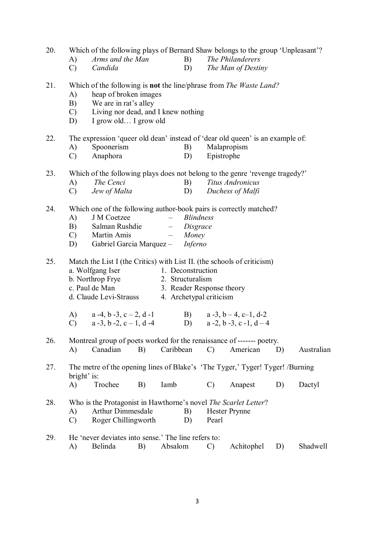20. Which of the following plays of Bernard Shaw belongs to the group 'Unpleasant'? A) *Arms and the Man* B) *The Philanderers* C) *Candida* D) *The Man of Destiny* 21. Which of the following is **not** the line/phrase from *The Waste Land?* A) heap of broken images B) We are in rat's alley C) Living nor dead, and I knew nothing D) I grow old… I grow old 22. The expression 'queer old dean' instead of 'dear old queen' is an example of: A) Spoonerism B) Malapropism C) Anaphora D) Epistrophe 23. Which of the following plays does not belong to the genre 'revenge tragedy?' A) *The Cenci* B) *Titus Andronicus* C) *Jew of Malta* D) *Duchess of Malfi* 24. Which one of the following author-book pairs is correctly matched? A) J M Coetzee – *Blindness* B) Salman Rushdie – *Disgrace* C) Martin Amis – *Money* D) Gabriel Garcia Marquez – *Inferno* 25. Match the List I (the Critics) with List II. (the schools of criticism) a. Wolfgang Iser 1. Deconstruction b. Northrop Frye 2. Structuralism c. Paul de Man 3. Reader Response theory d. Claude Levi-Strauss 4. Archetypal criticism A)  $a -4, b -3, c - 2, d -1$  B)  $a -3, b - 4, c -1, d -2$ C)  $a -3$ ,  $b -2$ ,  $c - 1$ ,  $d -4$  D)  $a -2$ ,  $b -3$ ,  $c -1$ ,  $d -4$ 26. Montreal group of poets worked for the renaissance of ------- poetry. A) Canadian B) Caribbean C) American D) Australian 27. The metre of the opening lines of Blake's 'The Tyger,' Tyger! Tyger! /Burning bright' is: A) Trochee B) Iamb C) Anapest D) Dactyl 28. Who is the Protagonist in Hawthorne's novel *The Scarlet Letter*? A) Arthur Dimmesdale B) Hester Prynne C) Roger Chillingworth D) Pearl 29. He 'never deviates into sense.' The line refers to: A) Belinda B) Absalom C) Achitophel D) Shadwell

3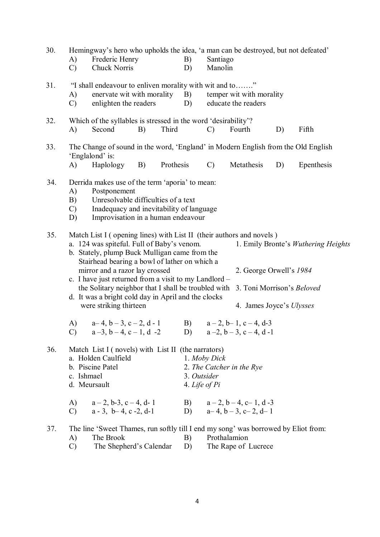| 30. | A)<br>$\mathcal{C}$             | Hemingway's hero who upholds the idea, 'a man can be destroyed, but not defeated'<br>Frederic Henry<br>Chuck Norris                                                                                                                                                                                                                                                                                                                                     |             | B)<br>D)  | Santiago<br>Manolin                          |                                                                                   |    |                                     |  |
|-----|---------------------------------|---------------------------------------------------------------------------------------------------------------------------------------------------------------------------------------------------------------------------------------------------------------------------------------------------------------------------------------------------------------------------------------------------------------------------------------------------------|-------------|-----------|----------------------------------------------|-----------------------------------------------------------------------------------|----|-------------------------------------|--|
| 31. | A)<br>$\mathcal{C}$             | "I shall endeavour to enliven morality with wit and to"<br>enervate wit with morality<br>enlighten the readers                                                                                                                                                                                                                                                                                                                                          |             | B)<br>D)  |                                              | temper wit with morality<br>educate the readers                                   |    |                                     |  |
| 32. | A)                              | Which of the syllables is stressed in the word 'desirability'?<br>Second                                                                                                                                                                                                                                                                                                                                                                                | B)<br>Third |           | $\mathcal{C}$                                | Fourth                                                                            | D) | Fifth                               |  |
| 33. | A)                              | The Change of sound in the word, 'England' in Modern English from the Old English<br>'Englalond' is:<br>Haplology                                                                                                                                                                                                                                                                                                                                       | <b>B</b> )  | Prothesis | $\mathcal{C}$                                | Metathesis                                                                        | D) | Epenthesis                          |  |
| 34. | A)<br>B)<br>$\mathcal{C}$<br>D) | Derrida makes use of the term 'aporia' to mean:<br>Postponement<br>Unresolvable difficulties of a text<br>Inadequacy and inevitability of language<br>Improvisation in a human endeavour                                                                                                                                                                                                                                                                |             |           |                                              |                                                                                   |    |                                     |  |
| 35. |                                 | Match List I (opening lines) with List II (their authors and novels)<br>a. 124 was spiteful. Full of Baby's venom.<br>b. Stately, plump Buck Mulligan came from the<br>Stairhead bearing a bowl of lather on which a<br>mirror and a razor lay crossed<br>c. I have just returned from a visit to my Landlord -<br>the Solitary neighbor that I shall be troubled with<br>d. It was a bright cold day in April and the clocks<br>were striking thirteen |             |           |                                              | 2. George Orwell's 1984<br>3. Toni Morrison's Beloved<br>4. James Joyce's Ulysses |    | 1. Emily Bronte's Wuthering Heights |  |
|     | A)<br>$\mathcal{C}$             | $a-4$ , $b-3$ , $c-2$ , $d-1$<br>$a-3$ , $b-4$ , $c-1$ , $d-2$                                                                                                                                                                                                                                                                                                                                                                                          |             | B)        |                                              | $a-2$ , $b-1$ , $c-4$ , $d-3$<br>D) $a-2, b-3, c-4, d-1$                          |    |                                     |  |
| 36. | c. Ishmael<br>A)                | Match List I (novels) with List II (the narrators)<br>a. Holden Caulfield<br>b. Piscine Patel<br>d. Meursault<br>$a-2$ , b-3, c - 4, d- 1                                                                                                                                                                                                                                                                                                               |             |           | 1. Moby Dick<br>3. Outsider<br>4. Life of Pi | 2. The Catcher in the Rye<br>B) $a-2, b-4, c-1, d-3$                              |    |                                     |  |
|     | $\mathcal{C}$                   | $a - 3$ , $b - 4$ , c $-2$ , d-1                                                                                                                                                                                                                                                                                                                                                                                                                        |             | D)        |                                              | $a-4$ , $b-3$ , $c-2$ , $d-1$                                                     |    |                                     |  |
| 37. | A)<br>$\mathcal{C}$             | The line 'Sweet Thames, run softly till I end my song' was borrowed by Eliot from:<br>The Brook<br>The Shepherd's Calendar                                                                                                                                                                                                                                                                                                                              |             | B)<br>D)  |                                              | Prothalamion<br>The Rape of Lucrece                                               |    |                                     |  |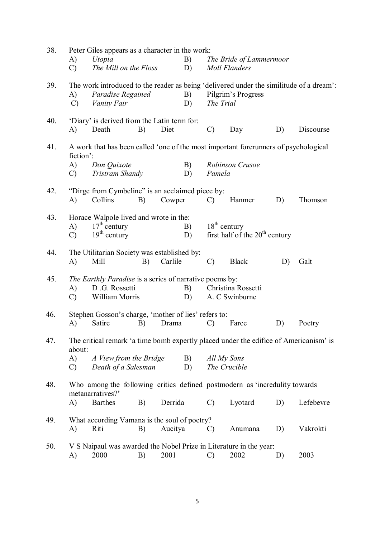| 38. |                     | Peter Giles appears as a character in the work:                                            |    |         |          |                |                                                                                                               |    |           |
|-----|---------------------|--------------------------------------------------------------------------------------------|----|---------|----------|----------------|---------------------------------------------------------------------------------------------------------------|----|-----------|
|     | A)                  | Utopia                                                                                     |    |         | B)       |                | The Bride of Lammermoor                                                                                       |    |           |
|     | $\mathcal{C}$       | The Mill on the Floss                                                                      |    |         | D)       |                | <b>Moll Flanders</b>                                                                                          |    |           |
| 39. | A)<br>$\mathcal{C}$ | Paradise Regained<br>Vanity Fair                                                           |    |         | B)<br>D) | The Trial      | The work introduced to the reader as being 'delivered under the similitude of a dream':<br>Pilgrim's Progress |    |           |
| 40. | A)                  | 'Diary' is derived from the Latin term for:<br>Death                                       | B) | Diet    |          | $\mathcal{C}$  | Day                                                                                                           | D) | Discourse |
| 41. | fiction':           |                                                                                            |    |         |          |                | A work that has been called 'one of the most important forerunners of psychological                           |    |           |
|     | A)<br>$\mathcal{C}$ | Don Quixote<br>Tristram Shandy                                                             |    |         | B)<br>D) | Pamela         | Robinson Crusoe                                                                                               |    |           |
| 42. | A)                  | "Dirge from Cymbeline" is an acclaimed piece by:<br>Collins                                | B) | Cowper  |          | $\mathcal{C}$  | Hanmer                                                                                                        | D) | Thomson   |
|     |                     |                                                                                            |    |         |          |                |                                                                                                               |    |           |
| 43. | A)<br>$\mathcal{C}$ | Horace Walpole lived and wrote in the:<br>$17th$ century<br>$19th$ century                 |    |         | B)<br>D) | $18th$ century | first half of the 20 <sup>th</sup> century                                                                    |    |           |
| 44. | A)                  | The Utilitarian Society was established by:<br>Mill                                        | B) | Carlile |          | $\mathcal{C}$  | <b>Black</b>                                                                                                  | D) | Galt      |
| 45. | A)<br>$\mathcal{C}$ | The Earthly Paradise is a series of narrative poems by:<br>D.G. Rossetti<br>William Morris |    |         | B)<br>D) |                | Christina Rossetti<br>A. C Swinburne                                                                          |    |           |
| 46. | A)                  | Stephen Gosson's charge, 'mother of lies' refers to:<br>Satire                             | B) | Drama   |          | $\mathcal{C}$  | Farce                                                                                                         | D) | Poetry    |
| 47. | about:              |                                                                                            |    |         |          |                | The critical remark 'a time bomb expertly placed under the edifice of Americanism' is                         |    |           |
|     | A)<br>$\mathcal{C}$ | A View from the Bridge<br>Death of a Salesman                                              |    |         | B)<br>D) | All My Sons    | The Crucible                                                                                                  |    |           |
| 48. |                     | metanarratives?'                                                                           |    |         |          |                | Who among the following critics defined postmodern as 'incredulity towards                                    |    |           |
|     | $\mathbf{A}$        | <b>Barthes</b>                                                                             | B) | Derrida |          | $\mathcal{C}$  | Lyotard                                                                                                       | D) | Lefebevre |
| 49. | A)                  | What according Vamana is the soul of poetry?<br>Riti                                       | B) | Aucitya |          | $\mathcal{C}$  | Anumana                                                                                                       | D) | Vakrokti  |
| 50. | A)                  | 2000                                                                                       | B) | 2001    |          | $\mathcal{C}$  | V S Naipaul was awarded the Nobel Prize in Literature in the year:<br>2002                                    | D) | 2003      |
|     |                     |                                                                                            |    |         |          |                |                                                                                                               |    |           |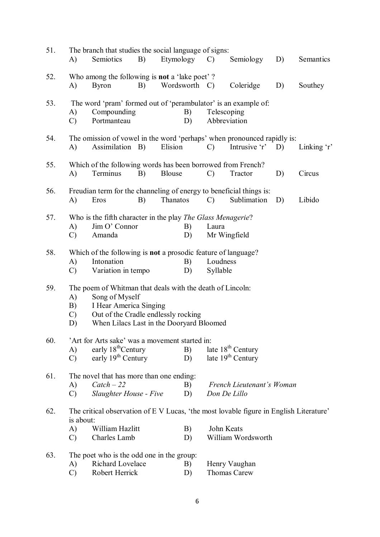| 51. | A)                  | The branch that studies the social language of signs:<br>Semiotics   | B) | Etymology     | $\mathcal{C}$ | Semiology                                                                              | D) | Semantics   |
|-----|---------------------|----------------------------------------------------------------------|----|---------------|---------------|----------------------------------------------------------------------------------------|----|-------------|
| 52. |                     | Who among the following is not a 'lake poet'?                        |    |               |               |                                                                                        |    |             |
|     | A)                  | <b>Byron</b>                                                         | B) | Wordsworth C) |               | Coleridge                                                                              | D) | Southey     |
| 53. |                     |                                                                      |    |               |               | The word 'pram' formed out of 'perambulator' is an example of:                         |    |             |
|     | A)<br>$\mathcal{C}$ | Compounding<br>Portmanteau                                           |    | B)<br>D)      |               | Telescoping<br>Abbreviation                                                            |    |             |
|     |                     |                                                                      |    |               |               |                                                                                        |    |             |
| 54. |                     |                                                                      |    |               |               | The omission of vowel in the word 'perhaps' when pronounced rapidly is:                |    |             |
|     | A)                  | Assimilation B)                                                      |    | Elision       | $\mathcal{C}$ | Intrusive $r'$ D)                                                                      |    | Linking $r$ |
| 55. |                     | Which of the following words has been borrowed from French?          |    |               |               |                                                                                        |    |             |
|     | A)                  | Terminus                                                             | B) | <b>Blouse</b> | $\mathcal{C}$ | Tractor                                                                                | D) | Circus      |
| 56. |                     |                                                                      |    |               |               | Freudian term for the channeling of energy to beneficial things is:                    |    |             |
|     | A)                  | Eros                                                                 | B) | Thanatos      | $\mathcal{C}$ | Sublimation                                                                            | D) | Libido      |
| 57. |                     | Who is the fifth character in the play <i>The Glass Menagerie</i> ?  |    |               |               |                                                                                        |    |             |
|     | A)                  | Jim O' Connor                                                        |    | B)            | Laura         |                                                                                        |    |             |
|     | $\mathcal{C}$       | Amanda                                                               |    | D)            |               | Mr Wingfield                                                                           |    |             |
| 58. |                     | Which of the following is <b>not</b> a prosodic feature of language? |    |               |               |                                                                                        |    |             |
|     | A)                  | Intonation                                                           |    | B)            |               | Loudness                                                                               |    |             |
|     | $\mathcal{C}$       | Variation in tempo                                                   |    | D)            | Syllable      |                                                                                        |    |             |
| 59. |                     | The poem of Whitman that deals with the death of Lincoln:            |    |               |               |                                                                                        |    |             |
|     | A)                  | Song of Myself                                                       |    |               |               |                                                                                        |    |             |
|     | B)                  | I Hear America Singing                                               |    |               |               |                                                                                        |    |             |
|     | $\mathcal{C}$       | Out of the Cradle endlessly rocking                                  |    |               |               |                                                                                        |    |             |
|     | D)                  | When Lilacs Last in the Dooryard Bloomed                             |    |               |               |                                                                                        |    |             |
| 60. |                     | 'Art for Arts sake' was a movement started in:                       |    |               |               |                                                                                        |    |             |
|     | A)                  | early 18 <sup>th</sup> Century                                       |    | B)            |               | late $18th$ Century                                                                    |    |             |
|     | $\mathcal{C}$       | early 19 <sup>th</sup> Century                                       |    | D)            |               | late 19 <sup>th</sup> Century                                                          |    |             |
| 61. |                     | The novel that has more than one ending:                             |    |               |               |                                                                                        |    |             |
|     | A)                  | $\textit{ Catch} - 22$                                               |    | B)            |               | French Lieutenant's Woman                                                              |    |             |
|     | $\mathcal{C}$       | <b>Slaughter House - Five</b>                                        |    | D)            |               | Don De Lillo                                                                           |    |             |
| 62. | is about:           |                                                                      |    |               |               | The critical observation of E V Lucas, 'the most lovable figure in English Literature' |    |             |
|     | A)                  | William Hazlitt                                                      |    | B)            |               | John Keats                                                                             |    |             |
|     | $\mathcal{C}$       | Charles Lamb                                                         |    | D)            |               | William Wordsworth                                                                     |    |             |
| 63. |                     | The poet who is the odd one in the group:                            |    |               |               |                                                                                        |    |             |
|     | A)                  | Richard Lovelace                                                     |    | B)            |               | Henry Vaughan                                                                          |    |             |
|     | $\mathcal{C}$       | Robert Herrick                                                       |    | D)            |               | Thomas Carew                                                                           |    |             |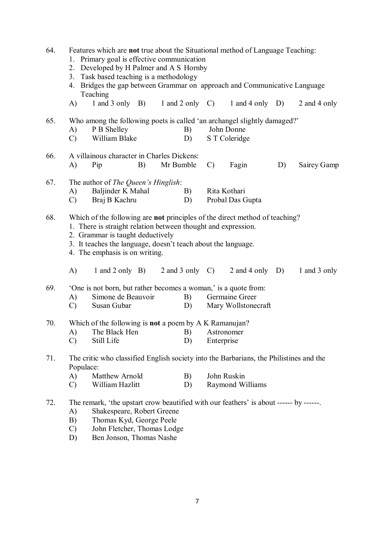| 64. | Features which are not true about the Situational method of Language Teaching:<br>1. Primary goal is effective communication<br>2. Developed by H Palmer and A S Hornby<br>Task based teaching is a methodology<br>3.<br>4. Bridges the gap between Grammar on approach and Communicative Language<br>Teaching |                                                                                                          |  |          |            |                                       |  |              |  |
|-----|----------------------------------------------------------------------------------------------------------------------------------------------------------------------------------------------------------------------------------------------------------------------------------------------------------------|----------------------------------------------------------------------------------------------------------|--|----------|------------|---------------------------------------|--|--------------|--|
|     | A)                                                                                                                                                                                                                                                                                                             | $1$ and $3$ only $B$ ) $1$ and $2$ only $C$ )                                                            |  |          |            | $1$ and $4$ only D)                   |  | 2 and 4 only |  |
| 65. | A)<br>$\mathcal{C}$                                                                                                                                                                                                                                                                                            | Who among the following poets is called 'an archangel slightly damaged?'<br>P B Shelley<br>William Blake |  | B)<br>D) |            | John Donne<br>S T Coleridge           |  |              |  |
| 66. | A villainous character in Charles Dickens:<br>Fagin<br>Mr Bumble<br>$\mathcal{C}$<br>D)<br>Sairey Gamp<br>A)<br>Pip<br>B)                                                                                                                                                                                      |                                                                                                          |  |          |            |                                       |  |              |  |
| 67. | The author of The Queen's Hinglish:<br>Baljinder K Mahal<br>Rita Kothari<br>B)<br>A)<br>Braj B Kachru<br>Probal Das Gupta<br>$\mathcal{C}$<br>D)                                                                                                                                                               |                                                                                                          |  |          |            |                                       |  |              |  |
| 68. | Which of the following are not principles of the direct method of teaching?<br>1. There is straight relation between thought and expression.<br>2. Grammar is taught deductively<br>3. It teaches the language, doesn't teach about the language.<br>4. The emphasis is on writing.                            |                                                                                                          |  |          |            |                                       |  |              |  |
|     | A)                                                                                                                                                                                                                                                                                                             | 1 and 2 only B) $2$ and 3 only C)                                                                        |  |          |            | 2 and 4 only $D$ )                    |  | 1 and 3 only |  |
| 69. | A)<br>$\mathcal{C}$                                                                                                                                                                                                                                                                                            | 'One is not born, but rather becomes a woman,' is a quote from:<br>Simone de Beauvoir<br>Susan Gubar     |  | B)<br>D) |            | Germaine Greer<br>Mary Wollstonecraft |  |              |  |
| 70. | A)<br>$\mathcal{C}$                                                                                                                                                                                                                                                                                            | Which of the following is <b>not</b> a poem by A K Ramanujan?<br>The Black Hen<br>Still Life             |  | B)<br>D) | Enterprise | Astronomer                            |  |              |  |
| 71. | Populace:                                                                                                                                                                                                                                                                                                      | The critic who classified English society into the Barbarians, the Philistines and the                   |  |          |            |                                       |  |              |  |
|     | Matthew Arnold<br>John Ruskin<br>A)<br>B)<br>William Hazlitt<br>Raymond Williams<br>D)<br>$\mathcal{C}$                                                                                                                                                                                                        |                                                                                                          |  |          |            |                                       |  |              |  |
| 72. | The remark, 'the upstart crow beautified with our feathers' is about ------ by ------<br>A)<br>Shakespeare, Robert Greene<br>B)<br>Thomas Kyd, George Peele<br>John Fletcher, Thomas Lodge<br>$\mathcal{C}$<br>Ben Jonson, Thomas Nashe<br>D)                                                                  |                                                                                                          |  |          |            |                                       |  |              |  |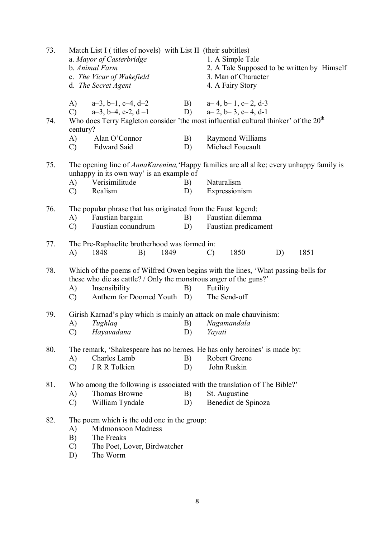| 73. |                                 | Match List I (titles of novels) with List II (their subtitles)<br>a. Mayor of Casterbridge<br>b. Animal Farm<br>c. The Vicar of Wakefield<br>d. The Secret Agent                                      |          |                          | 1. A Simple Tale<br>2. A Tale Supposed to be written by Himself<br>3. Man of Character<br>4. A Fairy Story |    |      |  |
|-----|---------------------------------|-------------------------------------------------------------------------------------------------------------------------------------------------------------------------------------------------------|----------|--------------------------|------------------------------------------------------------------------------------------------------------|----|------|--|
| 74. | A)<br>$\mathcal{C}$ )           | $a-3$ , $b-1$ , $c-4$ , $d-2$<br>$a-3$ , $b-4$ , $c-2$ , $d-1$<br>Who does Terry Eagleton consider 'the most influential cultural thinker' of the 20 <sup>th</sup>                                    |          |                          | B) $a-4, b-1, c-2, d-3$<br>D) $a-2, b-3, c-4, d-1$                                                         |    |      |  |
|     | century?<br>A)<br>$\mathcal{C}$ | Alan O'Connor<br><b>Edward Said</b>                                                                                                                                                                   | B)<br>D) |                          | Raymond Williams<br>Michael Foucault                                                                       |    |      |  |
| 75. |                                 | The opening line of <i>AnnaKarenina</i> , 'Happy families are all alike; every unhappy family is<br>unhappy in its own way' is an example of                                                          |          |                          |                                                                                                            |    |      |  |
|     | A)<br>$\mathcal{C}$             | Verisimilitude<br>Realism                                                                                                                                                                             | B)<br>D) | Naturalism               | Expressionism                                                                                              |    |      |  |
| 76. | A)<br>$\mathcal{C}$             | The popular phrase that has originated from the Faust legend:<br>Faustian bargain<br>Faustian conundrum                                                                                               | B)<br>D) |                          | Faustian dilemma<br>Faustian predicament                                                                   |    |      |  |
| 77. | A)                              | The Pre-Raphaelite brotherhood was formed in:<br>1849<br>1848<br>B)                                                                                                                                   |          | $\mathcal{C}$            | 1850                                                                                                       | D) | 1851 |  |
| 78. | A)<br>$\mathcal{C}$ )           | Which of the poems of Wilfred Owen begins with the lines, 'What passing-bells for<br>these who die as cattle? / Only the monstrous anger of the guns?'<br>Insensibility<br>Anthem for Doomed Youth D) | B)       | Futility<br>The Send-off |                                                                                                            |    |      |  |
| 79. | A)                              | Girish Karnad's play which is mainly an attack on male chauvinism:<br>Tughlaq                                                                                                                         | B)       | Nagamandala              |                                                                                                            |    |      |  |
|     |                                 | C) Hayavadana                                                                                                                                                                                         | D)       | Yayati                   |                                                                                                            |    |      |  |
| 80. | A)<br>$\mathcal{C}$             | The remark, 'Shakespeare has no heroes. He has only heroines' is made by:<br>Charles Lamb<br>J R R Tolkien                                                                                            | B)<br>D) | John Ruskin              | Robert Greene                                                                                              |    |      |  |
| 81. | A)<br>$\mathcal{C}$             | Who among the following is associated with the translation of The Bible?'<br>Thomas Browne<br>William Tyndale                                                                                         | B)<br>D) | St. Augustine            | Benedict de Spinoza                                                                                        |    |      |  |
| 82. | A)<br>B)<br>$\mathcal{C}$<br>D) | The poem which is the odd one in the group:<br>Midmonsoon Madness<br>The Freaks<br>The Poet, Lover, Birdwatcher<br>The Worm                                                                           |          |                          |                                                                                                            |    |      |  |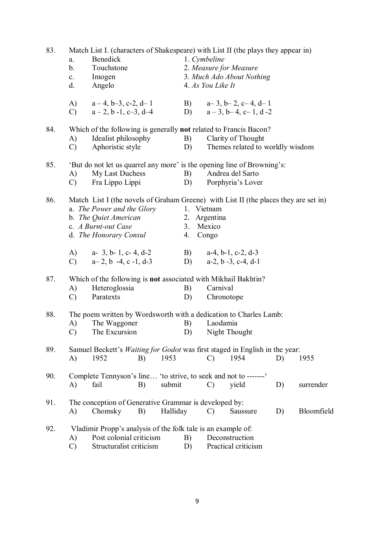| 83. | Match List I. (characters of Shakespeare) with List II (the plays they appear in)<br>Benedick<br>1. Cymbeline<br>a.<br>2. Measure for Measure<br>b.<br>Touchstone<br>3. Much Ado About Nothing<br>Imogen<br>$\mathbf{c}$ .<br>Angelo<br>4. As You Like It<br>d. |                                                                                                                                                                                              |    |          |                  |                                                     |                                                          |    |            |
|-----|-----------------------------------------------------------------------------------------------------------------------------------------------------------------------------------------------------------------------------------------------------------------|----------------------------------------------------------------------------------------------------------------------------------------------------------------------------------------------|----|----------|------------------|-----------------------------------------------------|----------------------------------------------------------|----|------------|
|     |                                                                                                                                                                                                                                                                 | A) $a-4, b-3, c-2, d-1$<br>C) $a-2, b-1, c-3, d-4$                                                                                                                                           |    |          |                  |                                                     | B) $a-3, b-2, c-4, d-1$<br>D) $a-3, b-4, c-1, d-2$       |    |            |
| 84. | A)<br>$\mathcal{C}$                                                                                                                                                                                                                                             | Which of the following is generally not related to Francis Bacon?<br>Idealist philosophy<br>Aphoristic style                                                                                 |    |          | B)<br>D)         |                                                     | Clarity of Thought<br>Themes related to worldly wisdom   |    |            |
| 85. | A)<br>$\mathcal{C}$ )                                                                                                                                                                                                                                           | 'But do not let us quarrel any more' is the opening line of Browning's:<br>My Last Duchess<br>Fra Lippo Lippi                                                                                |    |          | <b>B</b> )<br>D) |                                                     | Andrea del Sarto<br>Porphyria's Lover                    |    |            |
| 86. |                                                                                                                                                                                                                                                                 | Match List I (the novels of Graham Greene) with List II (the places they are set in)<br>a. The Power and the Glory<br>b. The Quiet American<br>c. A Burnt-out Case<br>d. The Honorary Consul |    |          |                  | 1. Vietnam<br>2. Argentina<br>3. Mexico<br>4. Congo |                                                          |    |            |
|     | $\mathcal{C}$ )                                                                                                                                                                                                                                                 | A) $a-3, b-1, c-4, d-2$<br>$a-2$ , b $-4$ , c $-1$ , d-3                                                                                                                                     |    |          | D)               |                                                     | B) $a-4, b-1, c-2, d-3$<br>$a-2$ , $b-3$ , $c-4$ , $d-1$ |    |            |
| 87. | A)<br>$\mathcal{C}$                                                                                                                                                                                                                                             | Which of the following is not associated with Mikhail Bakhtin?<br>Heteroglossia<br>Paratexts                                                                                                 |    |          | B)<br>D)         | Carnival<br>Chronotope                              |                                                          |    |            |
| 88. | A)<br>$\mathcal{C}$                                                                                                                                                                                                                                             | The poem written by Wordsworth with a dedication to Charles Lamb:<br>The Waggoner<br>The Excursion                                                                                           |    |          | B)               | Laodamia                                            | D) Night Thought                                         |    |            |
| 89. | A)                                                                                                                                                                                                                                                              | Samuel Beckett's <i>Waiting for Godot</i> was first staged in English in the year:<br>1952                                                                                                   | B) | 1953     |                  | $\mathcal{C}$                                       | 1954                                                     | D) | 1955       |
| 90. | A)                                                                                                                                                                                                                                                              | Complete Tennyson's line 'to strive, to seek and not to -------'<br>fail                                                                                                                     | B) | submit   |                  | $\mathcal{C}$                                       | yield                                                    | D) | surrender  |
| 91. | A)                                                                                                                                                                                                                                                              | The conception of Generative Grammar is developed by:<br>Chomsky                                                                                                                             | B) | Halliday |                  | $\mathcal{C}$                                       | Saussure                                                 | D) | Bloomfield |
| 92. | A)<br>$\mathcal{C}$                                                                                                                                                                                                                                             | Vladimir Propp's analysis of the folk tale is an example of:<br>Post colonial criticism<br>Structuralist criticism                                                                           |    |          | B)<br>D)         |                                                     | Deconstruction<br>Practical criticism                    |    |            |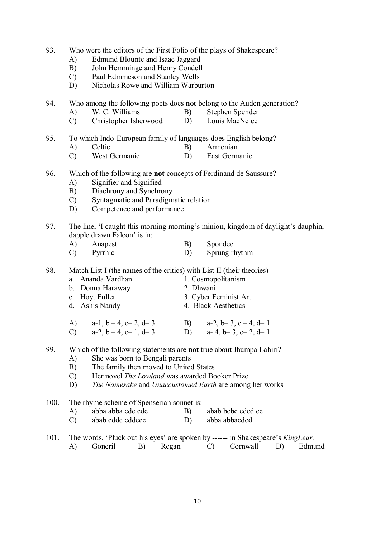- 93. Who were the editors of the First Folio of the plays of Shakespeare?
	- A) Edmund Blounte and Isaac Jaggard
	- B) John Hemminge and Henry Condell
	- C) Paul Edmmeson and Stanley Wells
	- D) Nicholas Rowe and William Warburton

94. Who among the following poets does **not** belong to the Auden generation?

- A) W. C. Williams B) Stephen Spender
- C) Christopher Isherwood D) Louis MacNeice
- 95. To which Indo-European family of languages does English belong?
	- A) Celtic B) Armenian
	- C) West Germanic D) East Germanic
- 96. Which of the following are **not** concepts of Ferdinand de Saussure?
	- A) Signifier and Signified
	- B) Diachrony and Synchrony
	- C) Syntagmatic and Paradigmatic relation
	- D) Competence and performance
- 97. The line, 'I caught this morning morning's minion, kingdom of daylight's dauphin, dapple drawn Falcon' is in:
	- A) Anapest B) Spondee C) Pyrrhic D) Sprung rhythm
- 98. Match List I (the names of the critics) with List II (their theories)
	- a. Ananda Vardhan 1. Cosmopolitanism
	- - b. Donna Haraway 2. Dhwani 2. Dhwani 2. Hovt Fuller 3. Cyber F
	-
- 3. Cyber Feminist Art
- d. Ashis Nandy 4. Black Aesthetics

| A) $a-1, b-4, c-2, d-3$ | B) $a-2, b-3, c-4, d-1$ |
|-------------------------|-------------------------|
| C) $a-2, b-4, c-1, d-3$ | D) a-4, b-3, c-2, d-1   |

- 99. Which of the following statements are **not** true about Jhumpa Lahiri?
	- A) She was born to Bengali parents
	- B) The family then moved to United States
	- C) Her novel *The Lowland* was awarded Booker Prize
	- D) *The Namesake* and *Unaccustomed Earth* are among her works
- 100. The rhyme scheme of Spenserian sonnet is:
	- A) abba abba cde cde B) abab bcbc cdcd ee
	- C) abab cddc cddcee D) abba abbacdcd
- 101. The words, 'Pluck out his eyes' are spoken by ------ in Shakespeare's *KingLear.*
	- A) Goneril B) Regan C) Cornwall D) Edmund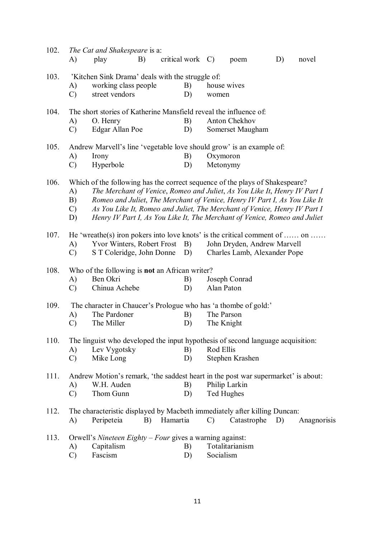| 102. |               | The Cat and Shakespeare is a:                                                     |    |                  |    |               |                                                                           |    |             |
|------|---------------|-----------------------------------------------------------------------------------|----|------------------|----|---------------|---------------------------------------------------------------------------|----|-------------|
|      | A)            | play                                                                              | B) | critical work C) |    |               | poem                                                                      | D) | novel       |
| 103. |               | 'Kitchen Sink Drama' deals with the struggle of:                                  |    |                  |    |               |                                                                           |    |             |
|      | A)            | working class people                                                              |    |                  | B) |               | house wives                                                               |    |             |
|      | $\mathcal{C}$ | street vendors                                                                    |    |                  | D) | women         |                                                                           |    |             |
| 104. |               | The short stories of Katherine Mansfield reveal the influence of.                 |    |                  |    |               |                                                                           |    |             |
|      | A)            | O. Henry                                                                          |    |                  | B) |               | Anton Chekhov                                                             |    |             |
|      | $\mathcal{C}$ | Edgar Allan Poe                                                                   |    |                  | D) |               | Somerset Maugham                                                          |    |             |
| 105. |               | Andrew Marvell's line 'vegetable love should grow' is an example of:              |    |                  |    |               |                                                                           |    |             |
|      | A)            | Irony                                                                             |    |                  | B) | Oxymoron      |                                                                           |    |             |
|      | $\mathcal{C}$ | Hyperbole                                                                         |    |                  | D) | Metonymy      |                                                                           |    |             |
| 106. |               | Which of the following has the correct sequence of the plays of Shakespeare?      |    |                  |    |               |                                                                           |    |             |
|      | A)            |                                                                                   |    |                  |    |               | The Merchant of Venice, Romeo and Juliet, As You Like It, Henry IV Part I |    |             |
|      | B)            |                                                                                   |    |                  |    |               | Romeo and Juliet, The Merchant of Venice, Henry IV Part I, As You Like It |    |             |
|      | $\mathcal{C}$ |                                                                                   |    |                  |    |               | As You Like It, Romeo and Juliet, The Merchant of Venice, Henry IV Part I |    |             |
|      | D)            |                                                                                   |    |                  |    |               | Henry IV Part I, As You Like It, The Merchant of Venice, Romeo and Juliet |    |             |
| 107. |               | He 'wreathe(s) iron pokers into love knots' is the critical comment of  on        |    |                  |    |               |                                                                           |    |             |
|      | A)            | Yvor Winters, Robert Frost                                                        |    |                  | B) |               | John Dryden, Andrew Marvell                                               |    |             |
|      | $\mathcal{C}$ | S T Coleridge, John Donne                                                         |    |                  | D) |               | Charles Lamb, Alexander Pope                                              |    |             |
| 108. |               | Who of the following is <b>not</b> an African writer?                             |    |                  |    |               |                                                                           |    |             |
|      | A)            | Ben Okri                                                                          |    |                  | B) |               | Joseph Conrad                                                             |    |             |
|      | $\mathcal{C}$ | Chinua Achebe                                                                     |    |                  | D) | Alan Paton    |                                                                           |    |             |
| 109. |               | The character in Chaucer's Prologue who has 'a thombe of gold:'                   |    |                  |    |               |                                                                           |    |             |
|      | A)            | The Pardoner                                                                      |    |                  | B) | The Parson    |                                                                           |    |             |
|      | $\mathcal{C}$ | The Miller                                                                        |    |                  | D) | The Knight    |                                                                           |    |             |
| 110. |               | The linguist who developed the input hypothesis of second language acquisition:   |    |                  |    |               |                                                                           |    |             |
|      | A)            | Lev Vygotsky                                                                      |    |                  | B) | Rod Ellis     |                                                                           |    |             |
|      | $\mathcal{C}$ | Mike Long                                                                         |    |                  | D) |               | Stephen Krashen                                                           |    |             |
| 111. |               | Andrew Motion's remark, 'the saddest heart in the post war supermarket' is about: |    |                  |    |               |                                                                           |    |             |
|      | A)            | W.H. Auden                                                                        |    |                  | B) |               | Philip Larkin                                                             |    |             |
|      | $\mathcal{C}$ | Thom Gunn                                                                         |    |                  | D) | Ted Hughes    |                                                                           |    |             |
| 112. |               | The characteristic displayed by Macbeth immediately after killing Duncan:         |    |                  |    |               |                                                                           |    |             |
|      | A)            | Peripeteia                                                                        | B) | Hamartia         |    | $\mathcal{C}$ | Catastrophe                                                               | D) | Anagnorisis |
| 113. |               | Orwell's Nineteen Eighty - Four gives a warning against:                          |    |                  |    |               |                                                                           |    |             |
|      | A)            | Capitalism                                                                        |    |                  | B) |               | Totalitarianism                                                           |    |             |
|      | $\mathcal{C}$ | Fascism                                                                           |    |                  | D) | Socialism     |                                                                           |    |             |